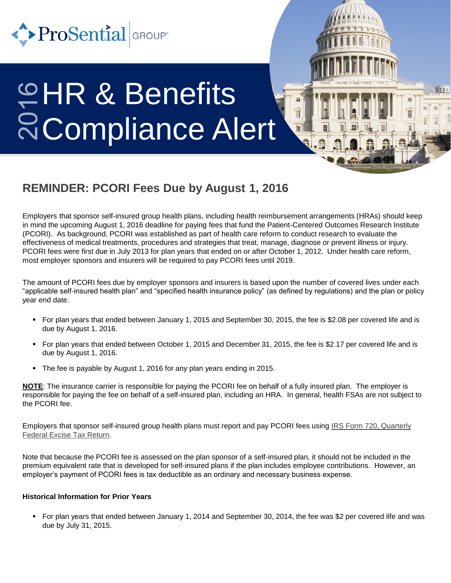

# HR & Benefits Compliance Alert

## **REMINDER: PCORI Fees Due by August 1, 2016**

Employers that sponsor self-insured group health plans, including health reimbursement arrangements (HRAs) should keep in mind the upcoming August 1, 2016 deadline for paying fees that fund the Patient-Centered Outcomes Research Institute (PCORI). As background, PCORI was established as part of health care reform to conduct research to evaluate the effectiveness of medical treatments, procedures and strategies that treat, manage, diagnose or prevent illness or injury. PCORI fees were first due in July 2013 for plan years that ended on or after October 1, 2012. Under health care reform, most employer sponsors and insurers will be required to pay PCORI fees until 2019.

The amount of PCORI fees due by employer sponsors and insurers is based upon the number of covered lives under each "applicable self-insured health plan" and "specified health insurance policy" (as defined by regulations) and the plan or policy year end date.

- For plan years that ended between January 1, 2015 and September 30, 2015, the fee is \$2.08 per covered life and is due by August 1, 2016.
- For plan years that ended between October 1, 2015 and December 31, 2015, the fee is \$2.17 per covered life and is due by August 1, 2016.
- The fee is payable by August 1, 2016 for any plan years ending in 2015.

**NOTE**: The insurance carrier is responsible for paying the PCORI fee on behalf of a fully insured plan. The employer is responsible for paying the fee on behalf of a self-insured plan, including an HRA. In general, health FSAs are not subject to the PCORI fee.

Employers that sponsor self-insured group health plans must report and pay PCORI fees using [IRS Form 720, Quarterly](https://www.irs.gov/pub/irs-pdf/f720.pdf)  [Federal Excise Tax Return](https://www.irs.gov/pub/irs-pdf/f720.pdf).

Note that because the PCORI fee is assessed on the plan sponsor of a self-insured plan, it should not be included in the premium equivalent rate that is developed for self-insured plans if the plan includes employee contributions. However, an employer's payment of PCORI fees is tax deductible as an ordinary and necessary business expense.

### **Historical Information for Prior Years**

 For plan years that ended between January 1, 2014 and September 30, 2014, the fee was \$2 per covered life and was due by July 31, 2015.